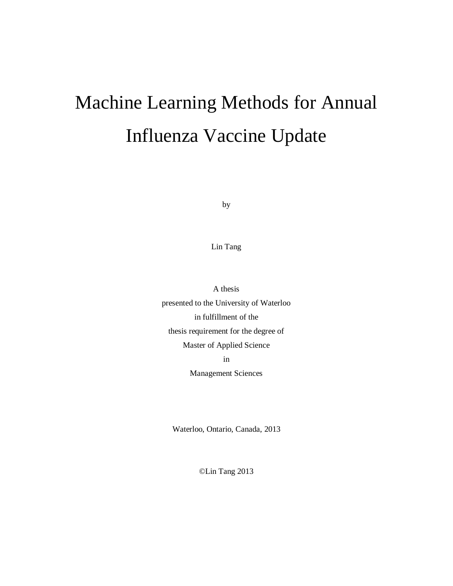# Machine Learning Methods for Annual Influenza Vaccine Update

by

Lin Tang

A thesis presented to the University of Waterloo in fulfillment of the thesis requirement for the degree of Master of Applied Science in

Management Sciences

Waterloo, Ontario, Canada, 2013

©Lin Tang 2013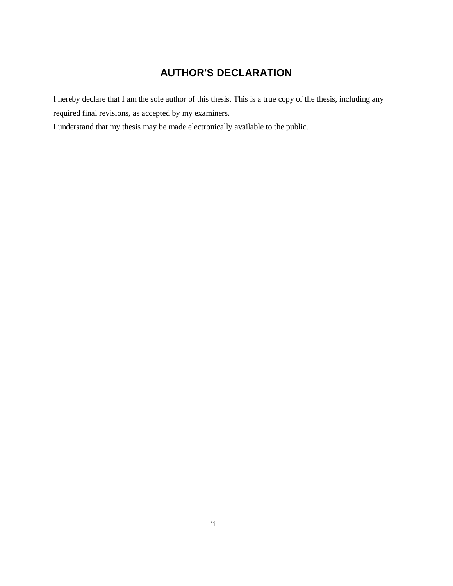# **AUTHOR'S DECLARATION**

I hereby declare that I am the sole author of this thesis. This is a true copy of the thesis, including any required final revisions, as accepted by my examiners.

I understand that my thesis may be made electronically available to the public.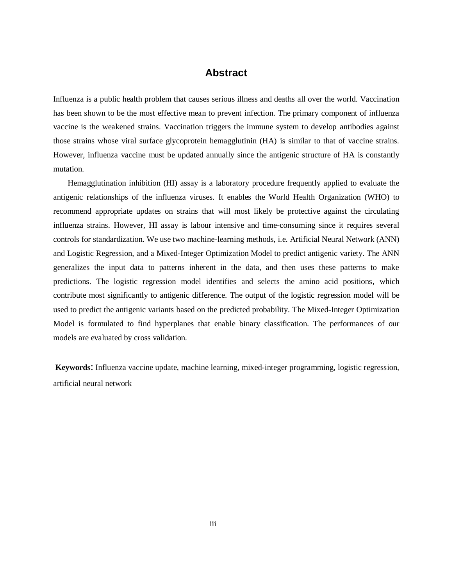## **Abstract**

Influenza is a public health problem that causes serious illness and deaths all over the world. Vaccination has been shown to be the most effective mean to prevent infection. The primary component of influenza vaccine is the weakened strains. Vaccination triggers the immune system to develop antibodies against those strains whose viral surface glycoprotein hemagglutinin (HA) is similar to that of vaccine strains. However, influenza vaccine must be updated annually since the antigenic structure of HA is constantly mutation.

 Hemagglutination inhibition (HI) assay is a laboratory procedure frequently applied to evaluate the antigenic relationships of the influenza viruses. It enables the World Health Organization (WHO) to recommend appropriate updates on strains that will most likely be protective against the circulating influenza strains. However, HI assay is labour intensive and time-consuming since it requires several controls for standardization. We use two machine-learning methods, i.e. Artificial Neural Network (ANN) and Logistic Regression, and a Mixed-Integer Optimization Model to predict antigenic variety. The ANN generalizes the input data to patterns inherent in the data, and then uses these patterns to make predictions. The logistic regression model identifies and selects the amino acid positions, which contribute most significantly to antigenic difference. The output of the logistic regression model will be used to predict the antigenic variants based on the predicted probability. The Mixed-Integer Optimization Model is formulated to find hyperplanes that enable binary classification. The performances of our models are evaluated by cross validation.

**Keywords**: Influenza vaccine update, machine learning, mixed-integer programming, logistic regression, artificial neural network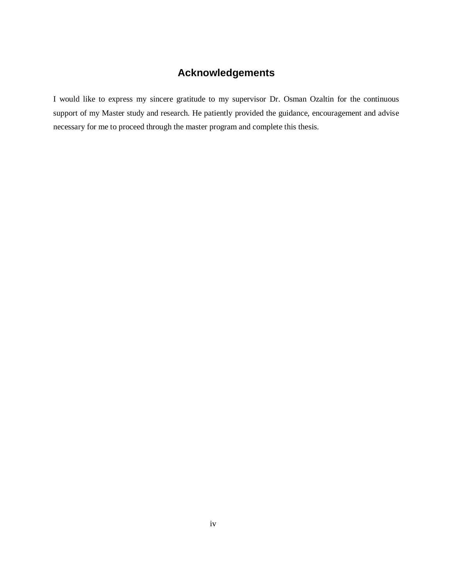# **Acknowledgements**

I would like to express my sincere gratitude to my supervisor Dr. Osman Ozaltin for the continuous support of my Master study and research. He patiently provided the guidance, encouragement and advise necessary for me to proceed through the master program and complete this thesis.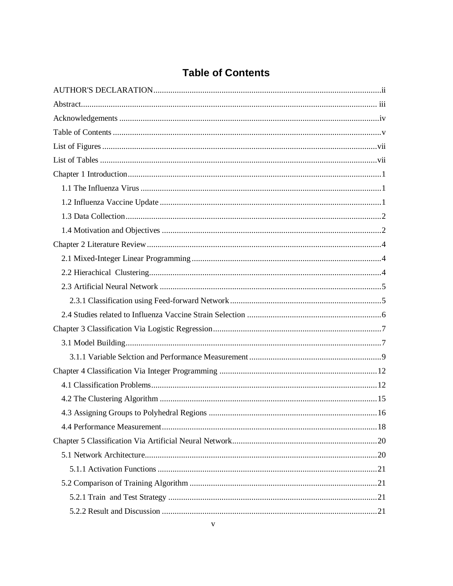# **Table of Contents**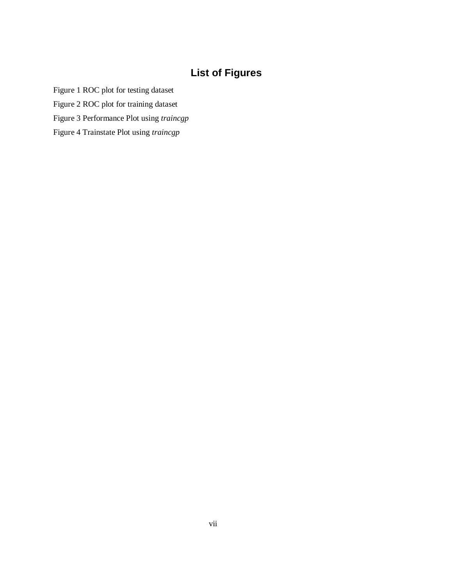# **List of Figures**

Figure 1 ROC plot for testing dataset

Figure 2 ROC plot for training dataset

Figure 3 Performance Plot using *traincgp*

Figure 4 Trainstate Plot using *traincgp*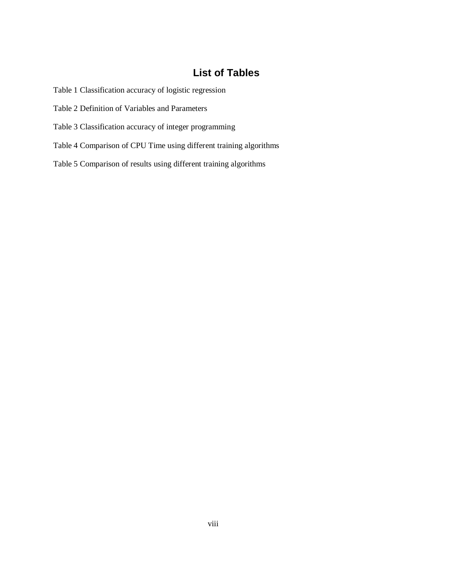# **List of Tables**

Table 1 Classification accuracy of logistic regression

Table 2 Definition of Variables and Parameters

Table 3 Classification accuracy of integer programming

Table 4 Comparison of CPU Time using different training algorithms

Table 5 Comparison of results using different training algorithms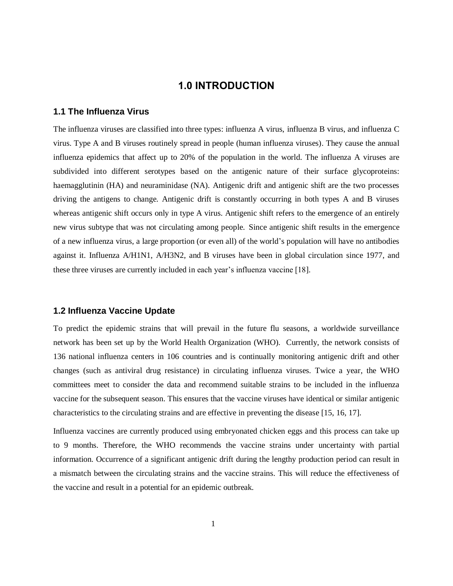## **1.0 INTRODUCTION**

#### **1.1 The Influenza Virus**

The influenza viruses are classified into three types: influenza A virus, influenza B virus, and influenza C virus. Type A and B viruses routinely spread in people (human influenza viruses). They cause the annual influenza epidemics that affect up to 20% of the population in the world. The influenza A viruses are subdivided into different serotypes based on the antigenic nature of their surface glycoproteins: haemagglutinin (HA) and neuraminidase (NA). Antigenic drift and antigenic shift are the two processes driving the antigens to change. Antigenic drift is constantly occurring in both types A and B viruses whereas antigenic shift occurs only in type A virus. Antigenic shift refers to the emergence of an entirely new virus subtype that was not circulating among people. Since antigenic shift results in the emergence of a new influenza virus, a large proportion (or even all) of the world's population will have no antibodies against it. Influenza A/H1N1, A/H3N2, and B viruses have been in global circulation since 1977, and these three viruses are currently included in each year's influenza vaccine [18].

#### **1.2 Influenza Vaccine Update**

To predict the epidemic strains that will prevail in the future flu seasons, a worldwide surveillance network has been set up by the World Health Organization (WHO). Currently, the network consists of 136 national influenza centers in 106 countries and is continually monitoring antigenic drift and other changes (such as antiviral drug resistance) in circulating influenza viruses. Twice a year, the WHO committees meet to consider the data and recommend suitable strains to be included in the influenza vaccine for the subsequent season. This ensures that the vaccine viruses have identical or similar antigenic characteristics to the circulating strains and are effective in preventing the disease [15, 16, 17].

Influenza vaccines are currently produced using embryonated chicken eggs and this process can take up to 9 months. Therefore, the WHO recommends the vaccine strains under uncertainty with partial information. Occurrence of a significant antigenic drift during the lengthy production period can result in a mismatch between the circulating strains and the vaccine strains. This will reduce the effectiveness of the vaccine and result in a potential for an epidemic outbreak.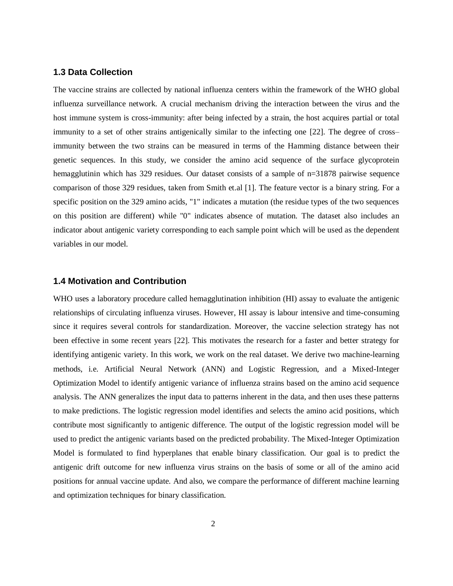#### **1.3 Data Collection**

The vaccine strains are collected by national influenza centers within the framework of the WHO global influenza surveillance network. A crucial mechanism driving the interaction between the virus and the host immune system is cross-immunity: after being infected by a strain, the host acquires partial or total immunity to a set of other strains antigenically similar to the infecting one [22]. The degree of cross– immunity between the two strains can be measured in terms of the Hamming distance between their genetic sequences. In this study, we consider the amino acid sequence of the surface glycoprotein hemagglutinin which has 329 residues. Our dataset consists of a sample of  $n=31878$  pairwise sequence comparison of those 329 residues, taken from Smith et.al [1]. The feature vector is a binary string. For a specific position on the 329 amino acids, "1" indicates a mutation (the residue types of the two sequences on this position are different) while "0" indicates absence of mutation. The dataset also includes an indicator about antigenic variety corresponding to each sample point which will be used as the dependent variables in our model.

#### **1.4 Motivation and Contribution**

WHO uses a laboratory procedure called hemagglutination inhibition (HI) assay to evaluate the antigenic relationships of circulating influenza viruses. However, HI assay is labour intensive and time-consuming since it requires several controls for standardization. Moreover, the vaccine selection strategy has not been effective in some recent years [22]. This motivates the research for a faster and better strategy for identifying antigenic variety. In this work, we work on the real dataset. We derive two machine-learning methods, i.e. Artificial Neural Network (ANN) and Logistic Regression, and a Mixed-Integer Optimization Model to identify antigenic variance of influenza strains based on the amino acid sequence analysis. The ANN generalizes the input data to patterns inherent in the data, and then uses these patterns to make predictions. The logistic regression model identifies and selects the amino acid positions, which contribute most significantly to antigenic difference. The output of the logistic regression model will be used to predict the antigenic variants based on the predicted probability. The Mixed-Integer Optimization Model is formulated to find hyperplanes that enable binary classification. Our goal is to predict the antigenic drift outcome for new influenza virus strains on the basis of some or all of the amino acid positions for annual vaccine update. And also, we compare the performance of different machine learning and optimization techniques for binary classification.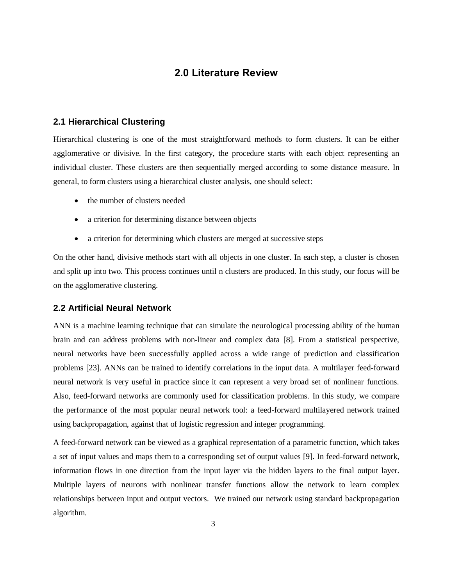## **2.0 Literature Review**

#### **2.1 Hierarchical Clustering**

Hierarchical clustering is one of the most straightforward methods to form clusters. It can be either agglomerative or divisive. In the first category, the procedure starts with each object representing an individual cluster. These clusters are then sequentially merged according to some distance measure. In general, to form clusters using a hierarchical cluster analysis, one should select:

- the number of clusters needed
- a criterion for determining distance between objects
- a criterion for determining which clusters are merged at successive steps

On the other hand, divisive methods start with all objects in one cluster. In each step, a cluster is chosen and split up into two. This process continues until n clusters are produced. In this study, our focus will be on the agglomerative clustering.

#### **2.2 Artificial Neural Network**

ANN is a machine learning technique that can simulate the neurological processing ability of the human brain and can address problems with non-linear and complex data [8]. From a statistical perspective, neural networks have been successfully applied across a wide range of prediction and classification problems [23]. ANNs can be trained to identify correlations in the input data. A multilayer feed-forward neural network is very useful in practice since it can represent a very broad set of nonlinear functions. Also, feed-forward networks are commonly used for classification problems. In this study, we compare the performance of the most popular neural network tool: a feed-forward multilayered network trained using backpropagation, against that of logistic regression and integer programming.

A feed-forward network can be viewed as a graphical representation of a parametric function, which takes a set of input values and maps them to a corresponding set of output values [9]. In feed-forward network, information flows in one direction from the input layer via the hidden layers to the final output layer. Multiple layers of neurons with nonlinear transfer functions allow the network to learn complex relationships between input and output vectors. We trained our network using standard backpropagation algorithm.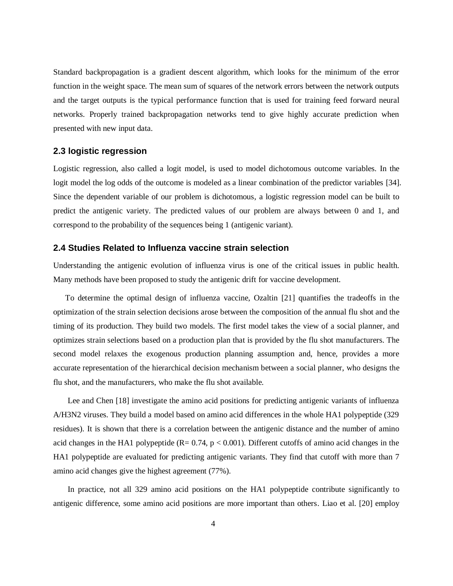Standard backpropagation is a gradient descent algorithm, which looks for the minimum of the error function in the weight space. The mean sum of squares of the network errors between the network outputs and the target outputs is the typical performance function that is used for training feed forward neural networks. Properly trained backpropagation networks tend to give highly accurate prediction when presented with new input data.

#### **2.3 logistic regression**

Logistic regression, also called a logit model, is used to model dichotomous outcome variables. In the logit model the log odds of the outcome is modeled as a linear combination of the predictor variables [34]. Since the dependent variable of our problem is dichotomous, a logistic regression model can be built to predict the antigenic variety. The predicted values of our problem are always between 0 and 1, and correspond to the probability of the sequences being 1 (antigenic variant).

#### **2.4 Studies Related to Influenza vaccine strain selection**

Understanding the antigenic evolution of influenza virus is one of the critical issues in public health. Many methods have been proposed to study the antigenic drift for vaccine development.

 To determine the optimal design of influenza vaccine, Ozaltin [21] quantifies the tradeoffs in the optimization of the strain selection decisions arose between the composition of the annual flu shot and the timing of its production. They build two models. The first model takes the view of a social planner, and optimizes strain selections based on a production plan that is provided by the flu shot manufacturers. The second model relaxes the exogenous production planning assumption and, hence, provides a more accurate representation of the hierarchical decision mechanism between a social planner, who designs the flu shot, and the manufacturers, who make the flu shot available.

 Lee and Chen [18] investigate the amino acid positions for predicting antigenic variants of influenza A/H3N2 viruses. They build a model based on amino acid differences in the whole HA1 polypeptide (329 residues). It is shown that there is a correlation between the antigenic distance and the number of amino acid changes in the HA1 polypeptide  $(R = 0.74, p < 0.001)$ . Different cutoffs of amino acid changes in the HA1 polypeptide are evaluated for predicting antigenic variants. They find that cutoff with more than 7 amino acid changes give the highest agreement (77%).

 In practice, not all 329 amino acid positions on the HA1 polypeptide contribute significantly to antigenic difference, some amino acid positions are more important than others. Liao et al. [20] employ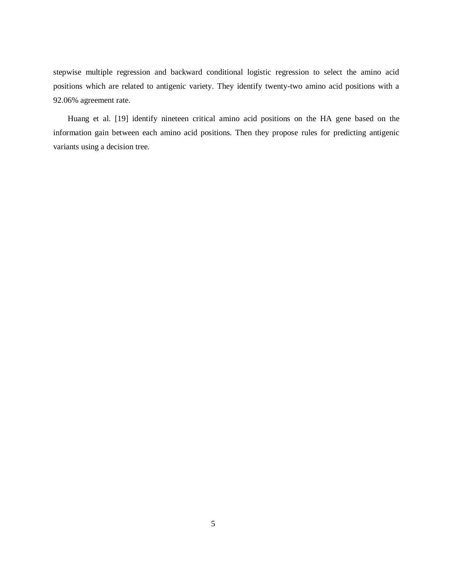stepwise multiple regression and backward conditional logistic regression to select the amino acid positions which are related to antigenic variety. They identify twenty-two amino acid positions with a 92.06% agreement rate.

 Huang et al. [19] identify nineteen critical amino acid positions on the HA gene based on the information gain between each amino acid positions. Then they propose rules for predicting antigenic variants using a decision tree.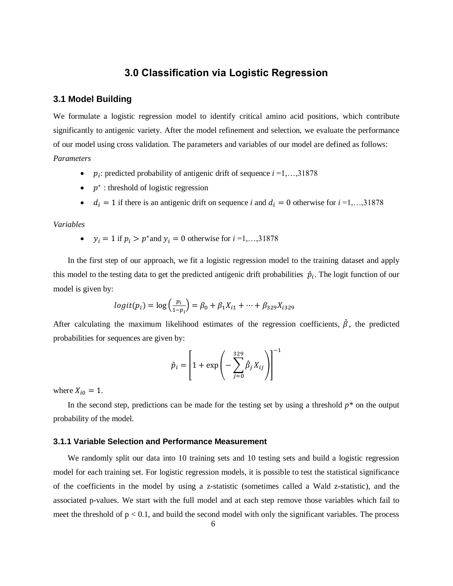# **3.0 Classification via Logistic Regression**

#### **3.1 Model Building**

We formulate a logistic regression model to identify critical amino acid positions, which contribute significantly to antigenic variety. After the model refinement and selection, we evaluate the performance of our model using cross validation. The parameters and variables of our model are defined as follows: *Parameters*

- $p_i$ : predicted probability of antigenic drift of sequence  $i = 1, \ldots, 31878$
- $\bullet$   $p^*$ : threshold of logistic regression
- $d_i = 1$  if there is an antigenic drift on sequence *i* and  $d_i = 0$  otherwise for  $i = 1, \ldots, 31878$

#### *Variables*

•  $y_i = 1$  if  $p_i > p^*$  and  $y_i = 0$  otherwise for  $i = 1, ..., 31878$ 

 In the first step of our approach, we fit a logistic regression model to the training dataset and apply this model to the testing data to get the predicted antigenic drift probabilities  $\hat{p}_i$ . The logit function of our model is given by:

$$
logit(p_i) = log\left(\frac{p_i}{1-p_i}\right) = \beta_0 + \beta_1 X_{i1} + \dots + \beta_{329} X_{i329}
$$

After calculating the maximum likelihood estimates of the regression coefficients,  $\hat{\beta}$ , the predicted probabilities for sequences are given by:

$$
\hat{p}_i = \left[1 + \exp\left(-\sum_{j=0}^{329} \hat{\beta}_j X_{ij}\right)\right]^{-1}
$$

where  $X_{i0} = 1$ .

 In the second step, predictions can be made for the testing set by using a threshold *p\** on the output probability of the model.

#### **3.1.1 Variable Selection and Performance Measurement**

We randomly split our data into 10 training sets and 10 testing sets and build a logistic regression model for each training set. For logistic regression models, it is possible to test the statistical significance of the coefficients in the model by using a z-statistic (sometimes called a Wald z-statistic), and the associated p-values. We start with the full model and at each step remove those variables which fail to meet the threshold of  $p < 0.1$ , and build the second model with only the significant variables. The process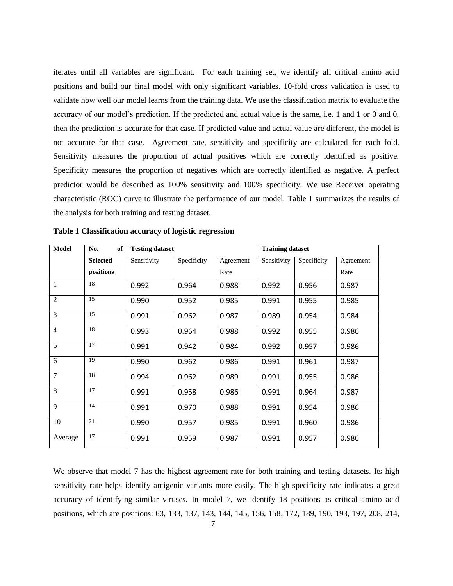iterates until all variables are significant. For each training set, we identify all critical amino acid positions and build our final model with only significant variables. 10-fold cross validation is used to validate how well our model learns from the training data. We use the classification matrix to evaluate the accuracy of our model's prediction. If the predicted and actual value is the same, i.e. 1 and 1 or 0 and 0, then the prediction is accurate for that case. If predicted value and actual value are different, the model is not accurate for that case. Agreement rate, sensitivity and specificity are calculated for each fold. Sensitivity measures the proportion of actual positives which are correctly identified as positive. Specificity measures the proportion of negatives which are correctly identified as negative. A perfect predictor would be described as 100% sensitivity and 100% specificity. We use Receiver operating characteristic (ROC) curve to illustrate the performance of our model. Table 1 summarizes the results of the analysis for both training and testing dataset.

| <b>Model</b>   | No.<br>of       | <b>Testing dataset</b> |             |           | <b>Training dataset</b> |             |           |  |
|----------------|-----------------|------------------------|-------------|-----------|-------------------------|-------------|-----------|--|
|                | <b>Selected</b> | Sensitivity            | Specificity | Agreement | Sensitivity             | Specificity | Agreement |  |
|                | positions       |                        |             | Rate      |                         |             | Rate      |  |
| 1              | 18              | 0.992                  | 0.964       | 0.988     | 0.992                   | 0.956       | 0.987     |  |
| $\overline{2}$ | 15              | 0.990                  | 0.952       | 0.985     | 0.991                   | 0.955       | 0.985     |  |
| 3              | 15              | 0.991                  | 0.962       | 0.987     | 0.989                   | 0.954       | 0.984     |  |
| $\overline{4}$ | 18              | 0.993                  | 0.964       | 0.988     | 0.992                   | 0.955       | 0.986     |  |
| $\overline{5}$ | 17              | 0.991                  | 0.942       | 0.984     | 0.992                   | 0.957       | 0.986     |  |
| 6              | 19              | 0.990                  | 0.962       | 0.986     | 0.991                   | 0.961       | 0.987     |  |
| $\tau$         | 18              | 0.994                  | 0.962       | 0.989     | 0.991                   | 0.955       | 0.986     |  |
| $\overline{8}$ | 17              | 0.991                  | 0.958       | 0.986     | 0.991                   | 0.964       | 0.987     |  |
| 9              | 14              | 0.991                  | 0.970       | 0.988     | 0.991                   | 0.954       | 0.986     |  |
| 10             | 21              | 0.990                  | 0.957       | 0.985     | 0.991                   | 0.960       | 0.986     |  |
| Average        | 17              | 0.991                  | 0.959       | 0.987     | 0.991                   | 0.957       | 0.986     |  |

**Table 1 Classification accuracy of logistic regression** 

We observe that model 7 has the highest agreement rate for both training and testing datasets. Its high sensitivity rate helps identify antigenic variants more easily. The high specificity rate indicates a great accuracy of identifying similar viruses. In model 7, we identify 18 positions as critical amino acid positions, which are positions: 63, 133, 137, 143, 144, 145, 156, 158, 172, 189, 190, 193, 197, 208, 214,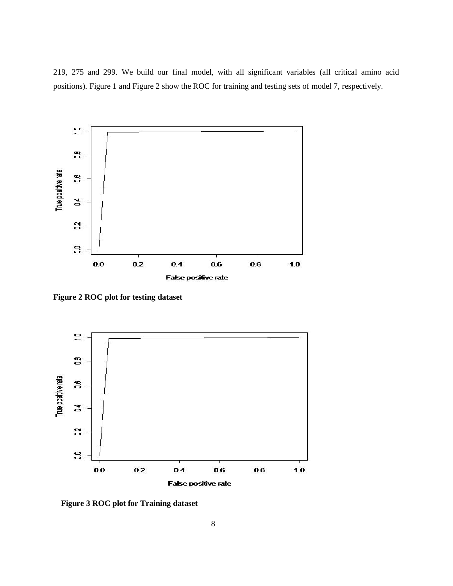219, 275 and 299. We build our final model, with all significant variables (all critical amino acid positions). Figure 1 and Figure 2 show the ROC for training and testing sets of model 7, respectively.



**Figure 2 ROC plot for testing dataset**



**Figure 3 ROC plot for Training dataset**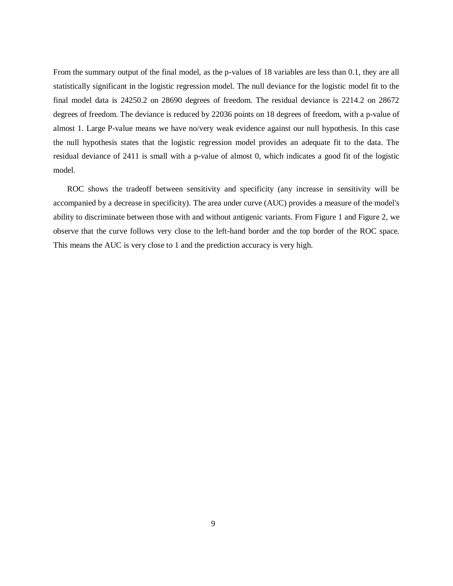From the summary output of the final model, as the p-values of 18 variables are less than 0.1, they are all statistically significant in the logistic regression model. The null deviance for the logistic model fit to the final model data is 24250.2 on 28690 degrees of freedom. The residual deviance is 2214.2 on 28672 degrees of freedom. The deviance is reduced by 22036 points on 18 degrees of freedom, with a p-value of almost 1. Large P-value means we have no/very weak evidence against our null hypothesis. In this case the null hypothesis states that the logistic regression model provides an adequate fit to the data. The residual deviance of 2411 is small with a p-value of almost 0, which indicates a good fit of the logistic model.

 ROC shows the tradeoff between sensitivity and specificity (any increase in sensitivity will be accompanied by a decrease in specificity). The area under curve (AUC) provides a measure of the model's ability to discriminate between those with and without antigenic variants. From Figure 1 and Figure 2, we observe that the curve follows very close to the left-hand border and the top border of the ROC space. This means the AUC is very close to 1 and the prediction accuracy is very high.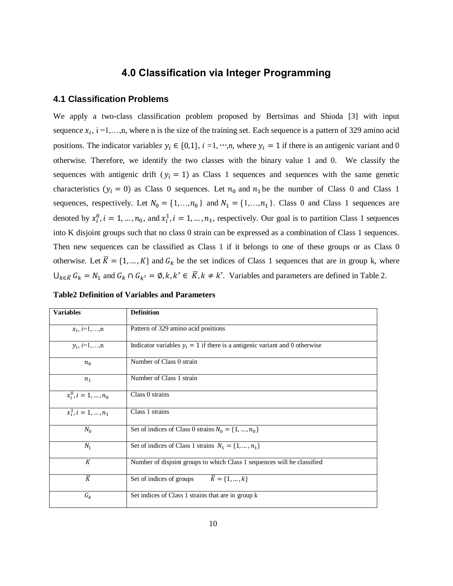# **4.0 Classification via Integer Programming**

#### **4.1 Classification Problems**

We apply a two-class classification problem proposed by Bertsimas and Shioda [3] with input sequence  $x_i$ , i =1,...,n, where n is the size of the training set. Each sequence is a pattern of 329 amino acid positions. The indicator variables  $y_i \in \{0,1\}$ ,  $i = 1, \dots, n$ , where  $y_i = 1$  if there is an antigenic variant and 0 otherwise. Therefore, we identify the two classes with the binary value 1 and 0. We classify the sequences with antigenic drift ( $y_i = 1$ ) as Class 1 sequences and sequences with the same genetic characteristics  $(y_i = 0)$  as Class 0 sequences. Let  $n_0$  and  $n_1$  be the number of Class 0 and Class 1 sequences, respectively. Let  $N_0 = \{1, \ldots, n_0\}$  and  $N_1 = \{1, \ldots, n_1\}$ . Class 0 and Class 1 sequences are denoted by  $x_i^0$ ,  $i = 1, ..., n_0$ , and  $x_i^1$ ,  $i = 1, ..., n_1$ , respectively. Our goal is to partition Class 1 sequences into K disjoint groups such that no class 0 strain can be expressed as a combination of Class 1 sequences. Then new sequences can be classified as Class 1 if it belongs to one of these groups or as Class 0 otherwise. Let  $\overline{K} = \{1, ..., K\}$  and  $G_k$  be the set indices of Class 1 sequences that are in group k, where  $\bigcup_{k \in \overline{K}} G_k = N_1$  and  $G_k \cap G_{k'} = \emptyset$ ,  $k, k' \in \overline{K}$ ,  $k \neq k'$ . Variables and parameters are defined in Table 2.

| <b>Variables</b>         | <b>Definition</b>                                                             |
|--------------------------|-------------------------------------------------------------------------------|
| $x_i$ , $i=1,\ldots,n$   | Pattern of 329 amino acid positions                                           |
| $y_i$ , $i=1,,n$         | Indicator variables $y_i = 1$ if there is a antigenic variant and 0 otherwise |
| $n_{0}$                  | Number of Class 0 strain                                                      |
| $n_{1}$                  | Number of Class 1 strain                                                      |
| $x_i^0$ , $i = 1, , n_0$ | Class 0 strains                                                               |
| $x_i^1, i = 1, , n_1$    | Class 1 strains                                                               |
| $N_0$                    | Set of indices of Class 0 strains $N_0 = \{1, , n_0\}$                        |
| $N_1$                    | Set of indices of Class 1 strains $N_1 = \{1, , n_1\}$                        |
| K                        | Number of disjoint groups to which Class 1 sequences will be classified       |
| $\overline{K}$           | Set of indices of groups $\overline{K} = \{1, , k\}$                          |
| $G_k$                    | Set indices of Class 1 strains that are in group k                            |

| <b>Table2 Definition of Variables and Parameters</b> |
|------------------------------------------------------|
|------------------------------------------------------|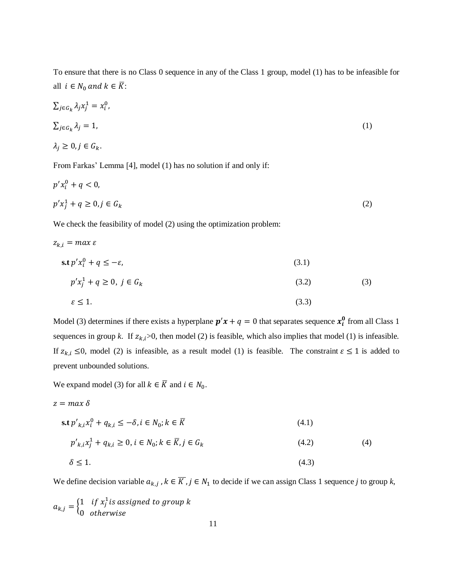To ensure that there is no Class 0 sequence in any of the Class 1 group, model (1) has to be infeasible for all  $i \in N_0$  and  $k \in \overline{K}$ :

$$
\sum_{j \in G_k} \lambda_j x_j^1 = x_i^0,
$$
  
\n
$$
\sum_{j \in G_k} \lambda_j = 1,
$$
  
\n
$$
\lambda_j \ge 0, j \in G_k.
$$
  
\n(1)

From Farkas' Lemma [4], model (1) has no solution if and only if:

$$
p'x_i^0 + q < 0,
$$
\n
$$
p'x_j^1 + q \ge 0, j \in G_k
$$
\n
$$
(2)
$$

We check the feasibility of model (2) using the optimization problem:

$$
z_{k,i} = \max \varepsilon
$$
  
\n
$$
\text{s.t } p'x_i^0 + q \le -\varepsilon,
$$
  
\n
$$
p'x_j^1 + q \ge 0, \ j \in G_k
$$
  
\n
$$
\varepsilon \le 1.
$$
  
\n(3.1)  
\n(3.2)  
\n(3.3)

Model (3) determines if there exists a hyperplane  $p'x + q = 0$  that separates sequence  $x_i^0$  from all Class 1 sequences in group *k*. If  $z_{k,i}$  >0, then model (2) is feasible, which also implies that model (1) is infeasible. If  $z_{k,i} \leq 0$ , model (2) is infeasible, as a result model (1) is feasible. The constraint  $\varepsilon \leq 1$  is added to prevent unbounded solutions.

We expand model (3) for all  $k \in \overline{K}$  and  $i \in N_0$ .

$$
z = max \delta
$$
  
\n
$$
\text{s.t } p'_{k,i}x_i^0 + q_{k,i} \le -\delta, i \in N_0; k \in \overline{K}
$$
\n
$$
p'_{k,i}x_j^1 + q_{k,i} \ge 0, i \in N_0; k \in \overline{K}, j \in G_k
$$
\n
$$
\delta \le 1.
$$
\n
$$
(4.3)
$$

We define decision variable  $a_{k,i}$ ,  $k \in \overline{K}$ ,  $j \in N_1$  to decide if we can assign Class 1 sequence *j* to group k,

$$
a_{k,j} = \begin{cases} 1 & \text{if } x_j^1 \text{ is assigned to group } k \\ 0 & \text{otherwise} \end{cases}
$$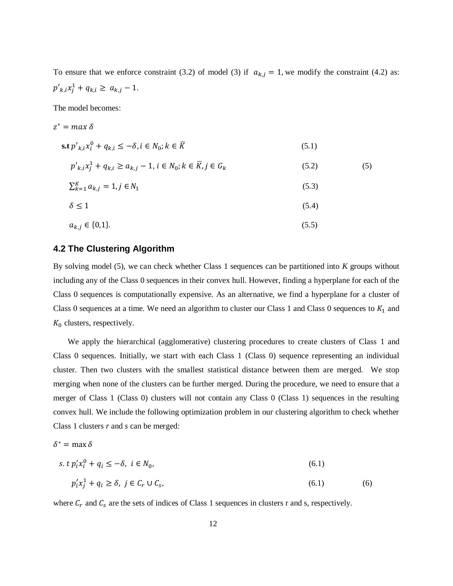To ensure that we enforce constraint (3.2) of model (3) if  $a_{k,j} = 1$ , we modify the constraint (4.2) as:  $p'_{k,i}x_i^1 + q_{k,i} \geq a_{k,i} - 1.$ 

The model becomes:

$$
z^* = max \delta
$$
  
\n
$$
s.t p'_{k,i}x_i^0 + q_{k,i} \le -\delta, i \in N_0; k \in \overline{K}
$$
  
\n
$$
p'_{k,i}x_j^1 + q_{k,i} \ge a_{k,j} - 1, i \in N_0; k \in \overline{K}, j \in G_k
$$
  
\n
$$
\sum_{k=1}^K a_{k,j} = 1, j \in N_1
$$
  
\n
$$
\delta \le 1
$$
  
\n
$$
a_{k,j} \in \{0,1\}.
$$
  
\n(5.3)  
\n(5.4)

#### **4.2 The Clustering Algorithm**

By solving model (5), we can check whether Class 1 sequences can be partitioned into *K* groups without including any of the Class 0 sequences in their convex hull. However, finding a hyperplane for each of the Class 0 sequences is computationally expensive. As an alternative, we find a hyperplane for a cluster of Class 0 sequences at a time. We need an algorithm to cluster our Class 1 and Class 0 sequences to  $K_1$  and  $K_0$  clusters, respectively.

 We apply the hierarchical (agglomerative) clustering procedures to create clusters of Class 1 and Class 0 sequences. Initially, we start with each Class 1 (Class 0) sequence representing an individual cluster. Then two clusters with the smallest statistical distance between them are merged. We stop merging when none of the clusters can be further merged. During the procedure, we need to ensure that a merger of Class 1 (Class 0) clusters will not contain any Class 0 (Class 1) sequences in the resulting convex hull. We include the following optimization problem in our clustering algorithm to check whether Class 1 clusters *r* and *s* can be merged:

$$
\delta^* = \max \delta
$$
  
s.t  $p_i' x_i^0 + q_i \le -\delta$ ,  $i \in N_0$ ,  

$$
p_i' x_j^1 + q_i \ge \delta
$$
,  $j \in C_r \cup C_s$ , (6.1) (6)

where  $C_r$  and  $C_s$  are the sets of indices of Class 1 sequences in clusters r and s, respectively.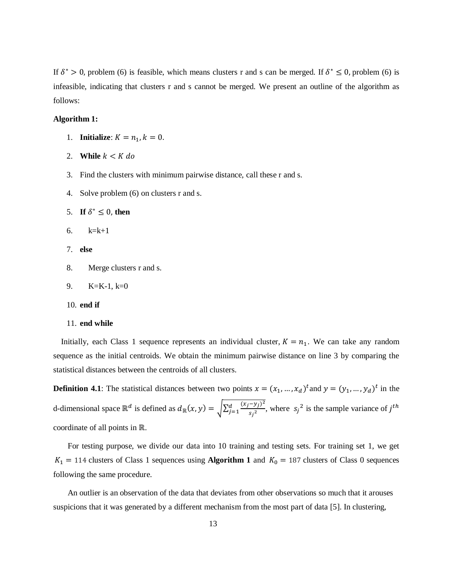If  $\delta^* > 0$ , problem (6) is feasible, which means clusters r and s can be merged. If  $\delta^* \le 0$ , problem (6) is infeasible, indicating that clusters r and s cannot be merged. We present an outline of the algorithm as follows:

#### **Algorithm 1:**

- 1. **Initialize**:  $K = n_1, k = 0$ .
- 2. **While**  $k \leq K$  do
- 3. Find the clusters with minimum pairwise distance, call these r and s.
- 4. Solve problem (6) on clusters r and s.

5. If 
$$
\delta^* \leq 0
$$
, then

- 6.k=k+1
- 7. **else**
- 8. Merge clusters r and s.

$$
9. \qquad K=K-1, k=0
$$

10. **end if**

#### 11. **end while**

Initially, each Class 1 sequence represents an individual cluster,  $K = n_1$ . We can take any random sequence as the initial centroids. We obtain the minimum pairwise distance on line 3 by comparing the statistical distances between the centroids of all clusters.

**Definition 4.1**: The statistical distances between two points  $x = (x_1, ..., x_d)^t$  and  $y = (y_1, ..., y_d)^t$  in the d-dimensional space  $\mathbb{R}^d$  is defined as  $d_{\mathbb{R}}(x, y) = \sqrt{\sum_{i=1}^d \frac{(x_i - y_i)^2}{n_i^2}}$  $\frac{d}{j=1} \frac{(x_j-y_j)^2}{s_j^2}$ , where  $s_j^2$  is the sample variance of  $j^t$ coordinate of all points in  $\mathbb{R}$ .

 For testing purpose, we divide our data into 10 training and testing sets. For training set 1, we get  $K_1 = 114$  clusters of Class 1 sequences using **Algorithm 1** and  $K_0 = 187$  clusters of Class 0 sequences following the same procedure.

 An outlier is an observation of the data that deviates from other observations so much that it arouses suspicions that it was generated by a different mechanism from the most part of data [5]. In clustering,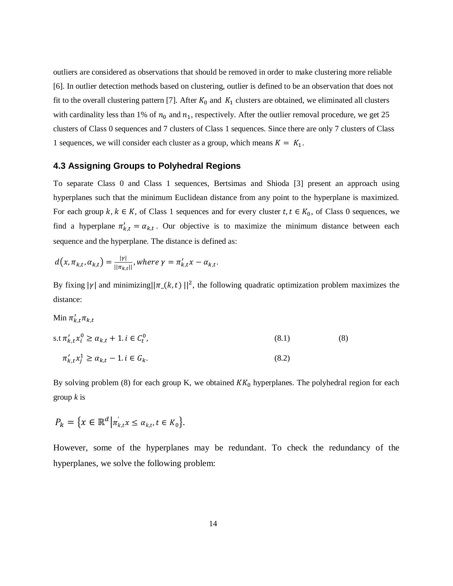outliers are considered as observations that should be removed in order to make clustering more reliable [6]. In outlier detection methods based on clustering, outlier is defined to be an observation that does not fit to the overall clustering pattern [7]. After  $K_0$  and  $K_1$  clusters are obtained, we eliminated all clusters with cardinality less than 1% of  $n_0$  and  $n_1$ , respectively. After the outlier removal procedure, we get 25 clusters of Class 0 sequences and 7 clusters of Class 1 sequences. Since there are only 7 clusters of Class 1 sequences, we will consider each cluster as a group, which means  $K = K_1$ .

#### **4.3 Assigning Groups to Polyhedral Regions**

To separate Class 0 and Class 1 sequences, Bertsimas and Shioda [3] present an approach using hyperplanes such that the minimum Euclidean distance from any point to the hyperplane is maximized. For each group  $k, k \in K$ , of Class 1 sequences and for every cluster  $t, t \in K_0$ , of Class 0 sequences, we find a hyperplane  $\pi'_{kt} = \alpha_{kt}$ . Our objective is to maximize the minimum distance between each sequence and the hyperplane. The distance is defined as:

$$
d(x, \pi_{k,t}, \alpha_{k,t}) = \frac{|\gamma|}{||\pi_{k,t}||}, where \gamma = \pi'_{k,t} x - \alpha_{k,t}.
$$

By fixing |y| and minimizing|| $\pi_{(k, t)}$ ||<sup>2</sup>, the following quadratic optimization problem maximizes the distance:

Min 
$$
\pi'_{k,t}\pi_{k,t}
$$
  
\ns.t  $\pi'_{k,t}x_i^0 \ge \alpha_{k,t} + 1 \cdot i \in C_t^0$ , (8.1)  
\n $\pi'_{k,t}x_j^1 \ge \alpha_{k,t} - 1 \cdot i \in G_k$ . (8.2)

By solving problem (8) for each group K, we obtained  $KK_0$  hyperplanes. The polyhedral region for each group *k* is

$$
P_k = \{x \in \mathbb{R}^d \big| \pi'_{k,t} x \le \alpha_{k,t}, t \in K_0 \}.
$$

However, some of the hyperplanes may be redundant. To check the redundancy of the hyperplanes, we solve the following problem: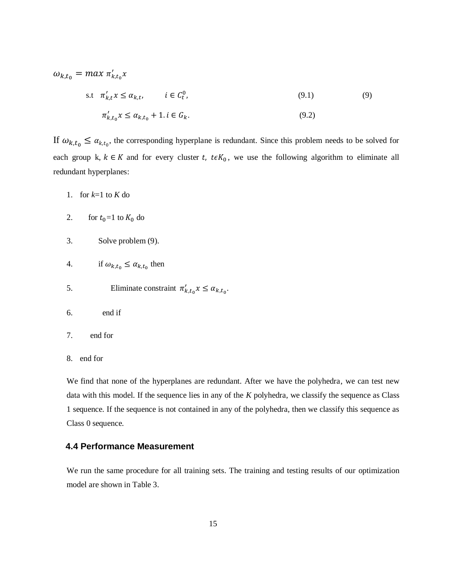$$
\omega_{k,t_0} = \max \pi'_{k,t_0} x
$$

$$
\text{s.t} \quad \pi'_{k,t} x \le \alpha_{k,t}, \qquad i \in C_t^0, \tag{9.1}
$$

$$
\pi'_{k,t_0} x \le \alpha_{k,t_0} + 1 \quad i \in G_k. \tag{9.2}
$$

If  $\omega_{k,t_0} \leq \alpha_{k,t_0}$ , the corresponding hyperplane is redundant. Since this problem needs to be solved for each group k,  $k \in K$  and for every cluster t,  $t \in K_0$ , we use the following algorithm to eliminate all redundant hyperplanes:

- 1. for  $k=1$  to  $K$  do
- 2. for  $t_0=1$  to  $K_0$  do
- 3. Solve problem (9).
- 4. if  $\omega_{k,t_0} \leq \alpha_{k,t_0}$  then
- 5. Eliminate constraint  $\pi'_{k,t_0} x \leq \alpha_{k,t_0}$ .
- 6. end if
- 7. end for
- 8. end for

We find that none of the hyperplanes are redundant. After we have the polyhedra, we can test new data with this model. If the sequence lies in any of the *K* polyhedra, we classify the sequence as Class 1 sequence. If the sequence is not contained in any of the polyhedra, then we classify this sequence as Class 0 sequence.

#### **4.4 Performance Measurement**

We run the same procedure for all training sets. The training and testing results of our optimization model are shown in Table 3.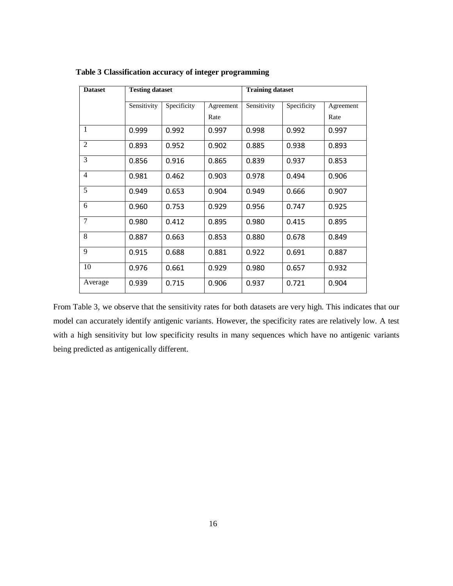| <b>Dataset</b> | <b>Testing dataset</b> |             |           | <b>Training dataset</b> |             |           |  |
|----------------|------------------------|-------------|-----------|-------------------------|-------------|-----------|--|
|                | Sensitivity            | Specificity | Agreement | Sensitivity             | Specificity | Agreement |  |
|                |                        |             | Rate      |                         |             | Rate      |  |
| $\mathbf{1}$   | 0.999                  | 0.992       | 0.997     | 0.998                   | 0.992       | 0.997     |  |
| $\overline{2}$ | 0.893                  | 0.952       | 0.902     | 0.885                   | 0.938       | 0.893     |  |
| 3              | 0.856                  | 0.916       | 0.865     | 0.839                   | 0.937       | 0.853     |  |
| $\overline{4}$ | 0.981                  | 0.462       | 0.903     | 0.978                   | 0.494       | 0.906     |  |
| 5              | 0.949                  | 0.653       | 0.904     | 0.949                   | 0.666       | 0.907     |  |
| 6              | 0.960                  | 0.753       | 0.929     | 0.956                   | 0.747       | 0.925     |  |
| 7              | 0.980                  | 0.412       | 0.895     | 0.980                   | 0.415       | 0.895     |  |
| 8              | 0.887                  | 0.663       | 0.853     | 0.880                   | 0.678       | 0.849     |  |
| 9              | 0.915                  | 0.688       | 0.881     | 0.922                   | 0.691       | 0.887     |  |
| 10             | 0.976                  | 0.661       | 0.929     | 0.980                   | 0.657       | 0.932     |  |
| Average        | 0.939                  | 0.715       | 0.906     | 0.937                   | 0.721       | 0.904     |  |

 **Table 3 Classification accuracy of integer programming**

From Table 3, we observe that the sensitivity rates for both datasets are very high. This indicates that our model can accurately identify antigenic variants. However, the specificity rates are relatively low. A test with a high sensitivity but low specificity results in many sequences which have no antigenic variants being predicted as antigenically different.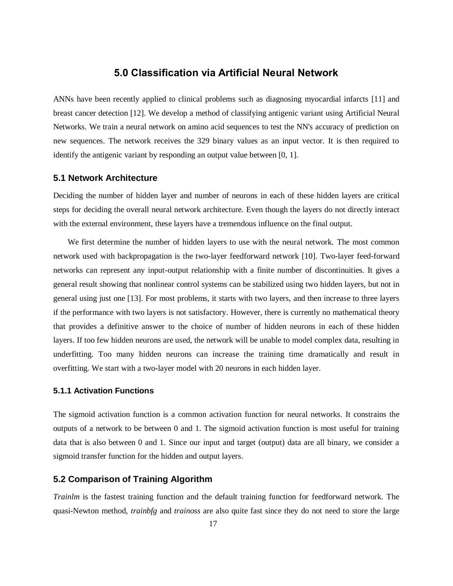### **5.0 Classification via Artificial Neural Network**

ANNs have been recently applied to clinical problems such as diagnosing myocardial infarcts [11] and breast cancer detection [12]. We develop a method of classifying antigenic variant using Artificial Neural Networks. We train a neural network on amino acid sequences to test the NN's accuracy of prediction on new sequences. The network receives the 329 binary values as an input vector. It is then required to identify the antigenic variant by responding an output value between [0, 1].

#### **5.1 Network Architecture**

Deciding the number of hidden layer and number of neurons in each of these hidden layers are critical steps for deciding the overall neural network architecture. Even though the layers do not directly interact with the external environment, these layers have a tremendous influence on the final output.

 We first determine the number of hidden layers to use with the neural network. The most common network used with backpropagation is the two-layer feedforward network [10]. Two-layer feed-forward networks can represent any input-output relationship with a finite number of discontinuities. It gives a general result showing that nonlinear control systems can be stabilized using two hidden layers, but not in general using just one [13]. For most problems, it starts with two layers, and then increase to three layers if the performance with two layers is not satisfactory. However, there is currently no mathematical theory that provides a definitive answer to the choice of number of hidden neurons in each of these hidden layers. If too few hidden neurons are used, the network will be unable to model complex data, resulting in underfitting. Too many hidden neurons can increase the training time dramatically and result in overfitting. We start with a two-layer model with 20 neurons in each hidden layer.

#### **5.1.1 Activation Functions**

The sigmoid activation function is a common activation function for neural networks. It constrains the outputs of a network to be between 0 and 1. The sigmoid activation function is most useful for training data that is also between 0 and 1. Since our input and target (output) data are all binary, we consider a sigmoid transfer function for the hidden and output layers.

#### **5.2 Comparison of Training Algorithm**

*Trainlm* is the fastest training function and the default training function for feedforward network. The quasi-Newton method, *trainbfg* and *trainoss* are also quite fast since they do not need to store the large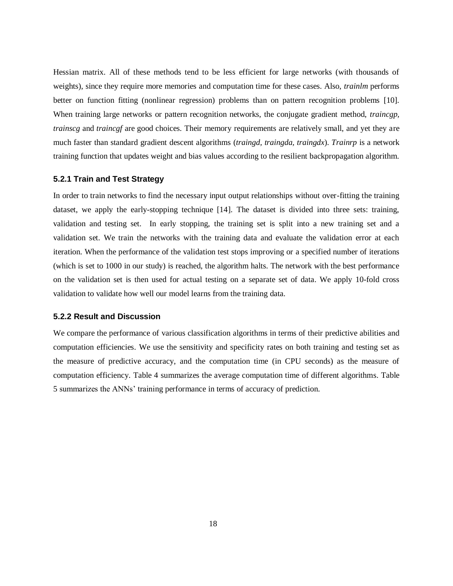Hessian matrix. All of these methods tend to be less efficient for large networks (with thousands of weights), since they require more memories and computation time for these cases. Also, *trainlm* performs better on function fitting (nonlinear regression) problems than on pattern recognition problems [10]. When training large networks or pattern recognition networks, the conjugate gradient method, *traincgp, trainscg* and *traincgf* are good choices. Their memory requirements are relatively small, and yet they are much faster than standard gradient descent algorithms (*traingd, traingda, traingdx*). *Trainrp* is a network training function that updates weight and bias values according to the resilient backpropagation algorithm.

#### **5.2.1 Train and Test Strategy**

In order to train networks to find the necessary input output relationships without over-fitting the training dataset, we apply the early-stopping technique [14]. The dataset is divided into three sets: training, validation and testing set. In early stopping, the training set is split into a new training set and a validation set. We train the networks with the training data and evaluate the validation error at each iteration. When the performance of the validation test stops improving or a specified number of iterations (which is set to 1000 in our study) is reached, the algorithm halts. The network with the best performance on the validation set is then used for actual testing on a separate set of data. We apply 10-fold cross validation to validate how well our model learns from the training data.

#### **5.2.2 Result and Discussion**

We compare the performance of various classification algorithms in terms of their predictive abilities and computation efficiencies. We use the sensitivity and specificity rates on both training and testing set as the measure of predictive accuracy, and the computation time (in CPU seconds) as the measure of computation efficiency. Table 4 summarizes the average computation time of different algorithms. Table 5 summarizes the ANNs' training performance in terms of accuracy of prediction.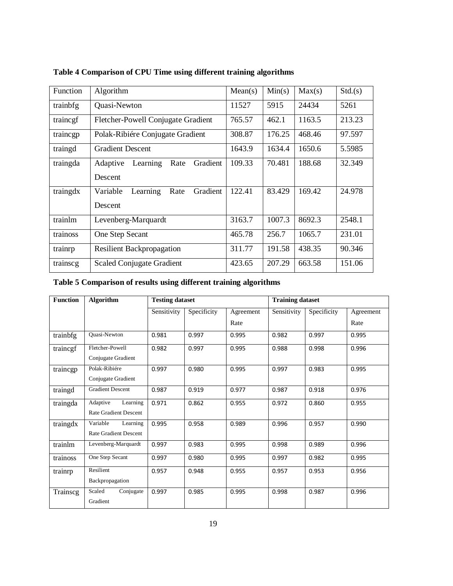| Function | Algorithm                                | Mean(s) | Min(s) | Max(s) | Std.(s) |
|----------|------------------------------------------|---------|--------|--------|---------|
| trainbfg | Quasi-Newton                             | 11527   | 5915   | 24434  | 5261    |
| trainegf | Fletcher-Powell Conjugate Gradient       | 765.57  | 462.1  | 1163.5 | 213.23  |
| traincgp | Polak-Ribi é e Conjugate Gradient        | 308.87  | 176.25 | 468.46 | 97.597  |
| traingd  | <b>Gradient Descent</b>                  | 1643.9  | 1634.4 | 1650.6 | 5.5985  |
| traingda | Adaptive<br>Learning<br>Rate<br>Gradient | 109.33  | 70.481 | 188.68 | 32.349  |
|          | Descent                                  |         |        |        |         |
| traingdx | Variable<br>Learning<br>Rate<br>Gradient | 122.41  | 83.429 | 169.42 | 24.978  |
|          | Descent                                  |         |        |        |         |
| trainlm  | Levenberg-Marquardt                      | 3163.7  | 1007.3 | 8692.3 | 2548.1  |
| trainoss | One Step Secant                          | 465.78  | 256.7  | 1065.7 | 231.01  |
| trainrp  | <b>Resilient Backpropagation</b>         | 311.77  | 191.58 | 438.35 | 90.346  |
| trainscg | <b>Scaled Conjugate Gradient</b>         | 423.65  | 207.29 | 663.58 | 151.06  |

# **Table 4 Comparison of CPU Time using different training algorithms**

# **Table 5 Comparison of results using different training algorithms**

| <b>Function</b> | <b>Algorithm</b>             | <b>Testing dataset</b> |             |           | <b>Training dataset</b> |             |           |
|-----------------|------------------------------|------------------------|-------------|-----------|-------------------------|-------------|-----------|
|                 |                              | Sensitivity            | Specificity | Agreement | Sensitivity             | Specificity | Agreement |
|                 |                              |                        |             | Rate      |                         |             | Rate      |
| trainbfg        | Quasi-Newton                 | 0.981                  | 0.997       | 0.995     | 0.982                   | 0.997       | 0.995     |
| trainegf        | Fletcher-Powell              | 0.982                  | 0.997       | 0.995     | 0.988                   | 0.998       | 0.996     |
|                 | Conjugate Gradient           |                        |             |           |                         |             |           |
| traincgp        | Polak-Ribi ée                | 0.997                  | 0.980       | 0.995     | 0.997                   | 0.983       | 0.995     |
|                 | Conjugate Gradient           |                        |             |           |                         |             |           |
| traingd         | <b>Gradient Descent</b>      | 0.987                  | 0.919       | 0.977     | 0.987                   | 0.918       | 0.976     |
| traingda        | Adaptive<br>Learning         | 0.971                  | 0.862       | 0.955     | 0.972                   | 0.860       | 0.955     |
|                 | <b>Rate Gradient Descent</b> |                        |             |           |                         |             |           |
| traingdx        | Variable<br>Learning         | 0.995                  | 0.958       | 0.989     | 0.996                   | 0.957       | 0.990     |
|                 | <b>Rate Gradient Descent</b> |                        |             |           |                         |             |           |
| trainlm         | Levenberg-Marquardt          | 0.997                  | 0.983       | 0.995     | 0.998                   | 0.989       | 0.996     |
| trainoss        | One Step Secant              | 0.997                  | 0.980       | 0.995     | 0.997                   | 0.982       | 0.995     |
| trainrp         | Resilient                    | 0.957                  | 0.948       | 0.955     | 0.957                   | 0.953       | 0.956     |
|                 | Backpropagation              |                        |             |           |                         |             |           |
| Trainscg        | Scaled<br>Conjugate          | 0.997                  | 0.985       | 0.995     | 0.998                   | 0.987       | 0.996     |
|                 | Gradient                     |                        |             |           |                         |             |           |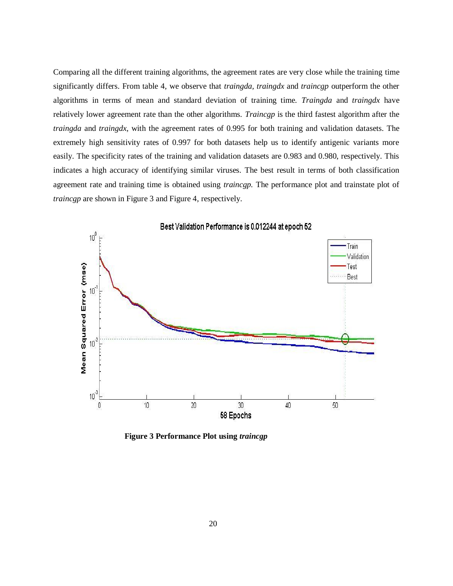Comparing all the different training algorithms, the agreement rates are very close while the training time significantly differs. From table 4, we observe that *traingda, traingdx* and *traincgp* outperform the other algorithms in terms of mean and standard deviation of training time. *Traingda* and *traingdx* have relatively lower agreement rate than the other algorithms. *Traincgp* is the third fastest algorithm after the *traingda* and *traingdx*, with the agreement rates of 0.995 for both training and validation datasets. The extremely high sensitivity rates of 0.997 for both datasets help us to identify antigenic variants more easily. The specificity rates of the training and validation datasets are 0.983 and 0.980, respectively. This indicates a high accuracy of identifying similar viruses. The best result in terms of both classification agreement rate and training time is obtained using *traincgp.* The performance plot and trainstate plot of *traincgp* are shown in Figure 3 and Figure 4, respectively.



 **Figure 3 Performance Plot using** *traincgp*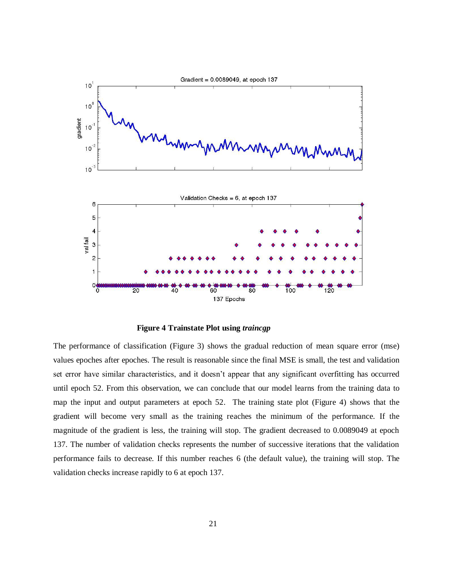

 **Figure 4 Trainstate Plot using** *traincgp*

The performance of classification (Figure 3) shows the gradual reduction of mean square error (mse) values epoches after epoches. The result is reasonable since the final MSE is small, the test and validation set error have similar characteristics, and it doesn't appear that any significant overfitting has occurred until epoch 52. From this observation, we can conclude that our model learns from the training data to map the input and output parameters at epoch 52. The training state plot (Figure 4) shows that the gradient will become very small as the training reaches the minimum of the performance. If the magnitude of the gradient is less, the training will stop. The gradient decreased to 0.0089049 at epoch 137. The number of validation checks represents the number of successive iterations that the validation performance fails to decrease. If this number reaches 6 (the default value), the training will stop. The validation checks increase rapidly to 6 at epoch 137.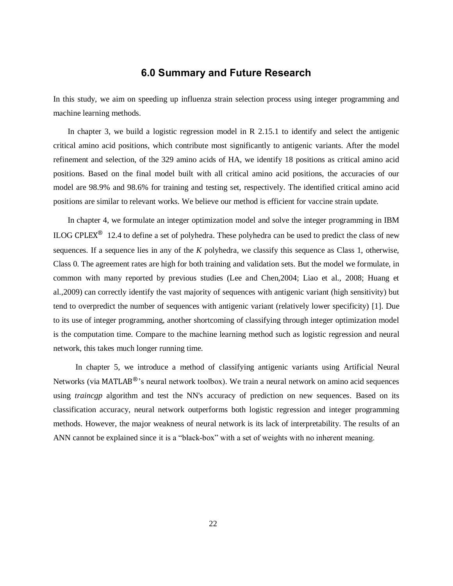# **6.0 Summary and Future Research**

In this study, we aim on speeding up influenza strain selection process using integer programming and machine learning methods.

 In chapter 3, we build a logistic regression model in R 2.15.1 to identify and select the antigenic critical amino acid positions, which contribute most significantly to antigenic variants. After the model refinement and selection, of the 329 amino acids of HA, we identify 18 positions as critical amino acid positions. Based on the final model built with all critical amino acid positions, the accuracies of our model are 98.9% and 98.6% for training and testing set, respectively. The identified critical amino acid positions are similar to relevant works. We believe our method is efficient for vaccine strain update.

 In chapter 4, we formulate an integer optimization model and solve the integer programming in IBM ILOG CPLEX<sup>®</sup> 12.4 to define a set of polyhedra. These polyhedra can be used to predict the class of new sequences. If a sequence lies in any of the *K* polyhedra, we classify this sequence as Class 1, otherwise, Class 0. The agreement rates are high for both training and validation sets. But the model we formulate, in common with many reported by previous studies (Lee and Chen,2004; Liao et al., 2008; Huang et al.,2009) can correctly identify the vast majority of sequences with antigenic variant (high sensitivity) but tend to overpredict the number of sequences with antigenic variant (relatively lower specificity) [1]. Due to its use of integer programming, another shortcoming of classifying through integer optimization model is the computation time. Compare to the machine learning method such as logistic regression and neural network, this takes much longer running time.

 In chapter 5, we introduce a method of classifying antigenic variants using Artificial Neural Networks (via  $MATLAB<sup>®</sup>$ 's neural network toolbox). We train a neural network on amino acid sequences using *traincgp* algorithm and test the NN's accuracy of prediction on new sequences. Based on its classification accuracy, neural network outperforms both logistic regression and integer programming methods. However, the major weakness of neural network is its lack of interpretability. The results of an ANN cannot be explained since it is a "black-box" with a set of weights with no inherent meaning.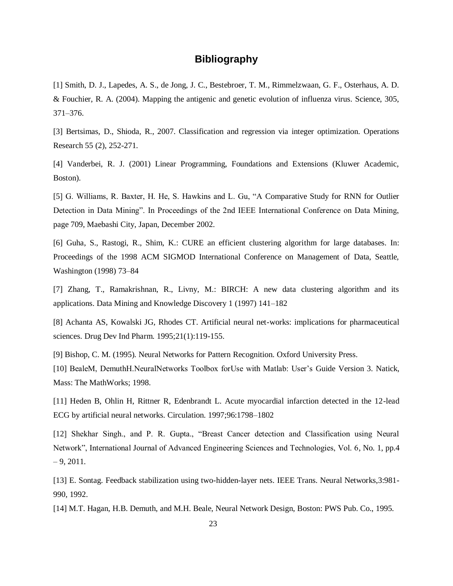# **Bibliography**

[1] Smith, D. J., Lapedes, A. S., de Jong, J. C., Bestebroer, T. M., Rimmelzwaan, G. F., Osterhaus, A. D. & Fouchier, R. A. (2004). Mapping the antigenic and genetic evolution of influenza virus. Science, 305, 371–376.

[3] Bertsimas, D., Shioda, R., 2007. Classification and regression via integer optimization. Operations Research 55 (2), 252-271.

[4] Vanderbei, R. J. (2001) Linear Programming, Foundations and Extensions (Kluwer Academic, Boston).

[5] G. Williams, R. Baxter, H. He, S. Hawkins and L. Gu, "A Comparative Study for RNN for Outlier Detection in Data Mining". In Proceedings of the 2nd IEEE International Conference on Data Mining, page 709, Maebashi City, Japan, December 2002.

[6] Guha, S., Rastogi, R., Shim, K.: CURE an efficient clustering algorithm for large databases. In: Proceedings of the 1998 ACM SIGMOD International Conference on Management of Data, Seattle, Washington (1998) 73–84

[7] Zhang, T., Ramakrishnan, R., Livny, M.: BIRCH: A new data clustering algorithm and its applications. Data Mining and Knowledge Discovery 1 (1997) 141–182

[8] Achanta AS, Kowalski JG, Rhodes CT. Artificial neural net-works: implications for pharmaceutical sciences. Drug Dev Ind Pharm. 1995;21(1):119-155.

[9] Bishop, C. M. (1995). Neural Networks for Pattern Recognition. Oxford University Press.

[10] BealeM, DemuthH.NeuralNetworks Toolbox forUse with Matlab: User's Guide Version 3. Natick, Mass: The MathWorks; 1998.

[11] Heden B, Ohlin H, Rittner R, Edenbrandt L. Acute myocardial infarction detected in the 12-lead ECG by artificial neural networks. Circulation. 1997;96:1798–1802

[12] Shekhar Singh., and P. R. Gupta., "Breast Cancer detection and Classification using Neural Network", International Journal of Advanced Engineering Sciences and Technologies, Vol. 6, No. 1, pp.4  $-9, 2011.$ 

[13] E. Sontag. Feedback stabilization using two-hidden-layer nets. IEEE Trans. Neural Networks,3:981- 990, 1992.

[14] M.T. Hagan, H.B. Demuth, and M.H. Beale, Neural Network Design, Boston: PWS Pub. Co., 1995.